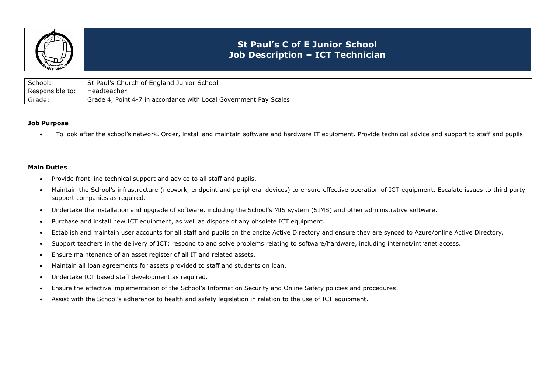

## **St Paul's C of E Junior School Job Description – ICT Technician**

| School:         | f England Junior School<br>Paul's C<br>. Church of<br>ວເ                                     |
|-----------------|----------------------------------------------------------------------------------------------|
| Responsible to: | Headteacher                                                                                  |
| Grade:          | ⋅7 in accordance with L<br>Local Government Pay Scales<br>Point $4-7$ .<br>Grade $\triangle$ |

## **Job Purpose**

• To look after the school's network. Order, install and maintain software and hardware IT equipment. Provide technical advice and support to staff and pupils.

## **Main Duties**

- Provide front line technical support and advice to all staff and pupils.
- Maintain the School's infrastructure (network, endpoint and peripheral devices) to ensure effective operation of ICT equipment. Escalate issues to third party support companies as required.
- Undertake the installation and upgrade of software, including the School's MIS system (SIMS) and other administrative software.
- Purchase and install new ICT equipment, as well as dispose of any obsolete ICT equipment.
- Establish and maintain user accounts for all staff and pupils on the onsite Active Directory and ensure they are synced to Azure/online Active Directory.
- Support teachers in the delivery of ICT; respond to and solve problems relating to software/hardware, including internet/intranet access.
- Ensure maintenance of an asset register of all IT and related assets.
- Maintain all loan agreements for assets provided to staff and students on loan.
- Undertake ICT based staff development as required.
- Ensure the effective implementation of the School's Information Security and Online Safety policies and procedures.
- Assist with the School's adherence to health and safety legislation in relation to the use of ICT equipment.